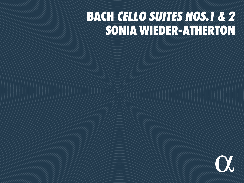## **BACH CELLO SUITES NOS.1 & 2 SONIA WIEDER-ATHERTON**

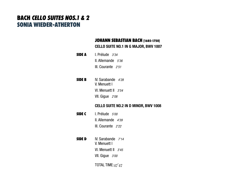## **BACH CELLO SUITES NOS.1 & 2 SONIA WIEDER-ATHERTON**

## **JOHANN SEBASTIAN BACH (1685-1750) CELLO SUITE NO.1 IN G MAJOR, BWV 1007**

**SIDE A** I. Prélude *3'34* II. Allemande *5'36* III. Courante *2'51*

**SIDE B** IV. Sarabande *4'28* V. Menuett I VI. Menuett II *3'54* VII. Gigue *2'08*

## **CELLO SUITE NO.2 IN D MINOR, BWV 1008**

- **SIDE C** I. Prélude *5'00* II. Allemande *4'39* III. Courante *2'22*
- **SIDE D** IV. Sarabande *7'14* V. Menuett I VI. Menuett II *3'45* VII. Gigue *3'00*

TOTAL TIME:47'47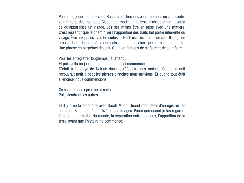Pour moi, jouer les suites de Bach, c'est toujours à un moment ou à un autre voir l'image des mains de Giacometti modelant la terre inlassablement jusqu'à ce qu'apparaisse un visage. Voir ses mains être en prise avec une matière. C'est ressentir que le chemin vers l'apparition des traits fait partie inhérente du visage. Être aux prises avec les suites de Bach est très proche de cela. Il s'agit de creuser la corde jusqu'à ce que naisse la phrase, ainsi que sa respiration juste. Une phrase en perpétuel devenir. Qui n'en finit pas de se faire et de se refaire.

Pour les enregistrer longtemps j'ai attendu.

Et puis voilà un jour, ou plutôt une nuit, j'ai commencé.

C'était à l'abbaye de Noirlac dans le réfectoire des moines. Quand la nuit recouvrait petit à petit les pierres blanches nous arrivions. Et quand tout était silencieux nous commencions.

Ce sont les deux premières suites. Puis viendront les autres.

Et il y a eu la rencontre avec Sarah Moon. Quand mon désir d'enregistrer les suites de Bach est né j'ai rêvé de ses images. Parce que quand je les regarde, j'imagine la création du monde, la séparation entre les eaux, l'apparition de la terre, avant que l'histoire ne commence.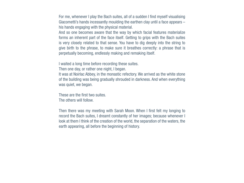For me, whenever I play the Bach suites, all of a sudden I find myself visualising Giacometti's hands incessantly moulding the earthen clay until a face appears – his hands engaging with the physical material.

And so one becomes aware that the way by which facial features materialize forms an inherent part of the face itself. Getting to grips with the Bach suites is very closely related to that sense. You have to dig deeply into the string to give birth to the phrase, to make sure it breathes correctly: a phrase that is perpetually becoming, endlessly making and remaking itself.

I waited a long time before recording these suites.

Then one day, or rather one night, I began.

It was at Noirlac Abbey, in the monastic refectory. We arrived as the white stone of the building was being gradually shrouded in darkness. And when everything was quiet, we began.

These are the first two suites. The others will follow.

Then there was my meeting with Sarah Moon. When I first felt my longing to record the Bach suites, I dreamt constantly of her images; because whenever I look at them I think of the creation of the world, the separation of the waters, the earth appearing, all before the beginning of history.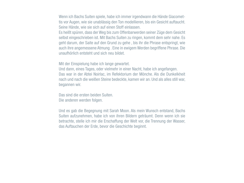Wenn ich Bachs Suiten spiele, habe ich immer irgendwann die Hände Giacomettis vor Augen, wie sie unablässig den Ton modellieren, bis ein Gesicht auftaucht. Seine Hände, wie sie sich auf einen Stoff einlassen.

Es heißt spüren, dass der Weg bis zum Offenbarwerden seiner Züge dem Gesicht selbst eingeschrieben ist. Mit Bachs Suiten zu ringen, kommt dem sehr nahe. Es geht darum, der Saite auf den Grund zu gehe , bis ihr die Phrase entspringt, wie auch ihre angemessene Atmung . Eine in ewigem Werden begriffene Phrase. Die unaufhörlich entsteht und sich neu bildet.

Mit der Einspielung habe ich lange gewartet.

Und dann, eines Tages, oder vielmehr in einer Nacht, habe ich angefangen. Das war in der Abtei Noirlac, im Refektorium der Mönche. Als die Dunkelkheit nach und nach die weißen Steine bedeckte, kamen wir an. Und als alles still war, begannen wir.

Das sind die ersten beiden Suiten. Die anderen werden folgen.

Und es gab die Begegnung mit Sarah Moon. Als mein Wunsch entstand, Bachs Suiten aufzunehmen, habe ich von ihren Bildern geträumt. Denn wenn ich sie betrachte, stelle ich mir die Erschaffung der Welt vor, die Trennung der Wasser, das Auftauchen der Erde, bevor die Geschichte beginnt.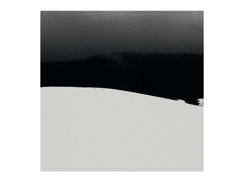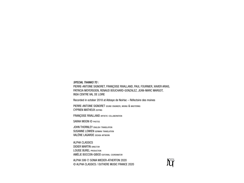*SPECIAL THANKS TO :*

PIERRE-ANTOINE SIGNORET, FRANÇOISE RIVALLAND, PAUL FOURNIER, XAVIER ARIAS, PATRICIA MOYERSOEN, RENAUD BOUCHARD-GONZALEZ, JEAN-MARC MARGOT, INSA CENTRE VAL DE LOIRE

Recorded in october 2018 at Abbaye de Noirlac – Réfectoire des moines

PIERRE-ANTOINE SIGNORET sound engineer, mixing & mastering CYPRIEN MATHEUX editing

FRANÇOISE RIVALLAND artistic collaboration

SARAH MOON © photos

JOHN THORNLEY ENGLISH TRANSLATION SUSANNE LOWIEN german translation VALÉRIE LAGARDE design artwork

ALPHA CLASSICS DIDIER MARTIN director LOUISE BUREL production AMÉLIE BOCCON-GIBOD editorial coordinator

ALPHA 599 @ SONIA WIEDER-ATHERTON 2020 © ALPHA CLASSICS / OUTHERE MUSIC FRANCE 2020 **Delayedde**